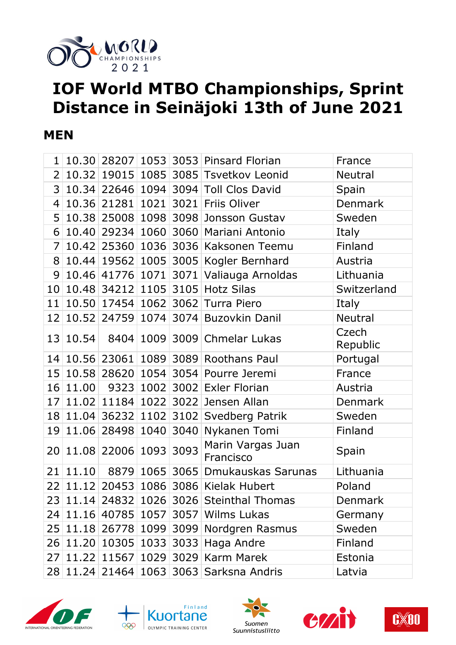

# **IOF World MTBO Championships, Sprint Distance in Seinäjoki 13th of June 2021**

#### **MEN**

|       |                                                                                                                       |                |                                                         | France                                                                                                                                                                                                                                                                                                                                                                                                                                                                                                                                                                                                                                                                                                                                                                                                                                                                                                                                                                     |
|-------|-----------------------------------------------------------------------------------------------------------------------|----------------|---------------------------------------------------------|----------------------------------------------------------------------------------------------------------------------------------------------------------------------------------------------------------------------------------------------------------------------------------------------------------------------------------------------------------------------------------------------------------------------------------------------------------------------------------------------------------------------------------------------------------------------------------------------------------------------------------------------------------------------------------------------------------------------------------------------------------------------------------------------------------------------------------------------------------------------------------------------------------------------------------------------------------------------------|
|       |                                                                                                                       |                |                                                         | <b>Neutral</b>                                                                                                                                                                                                                                                                                                                                                                                                                                                                                                                                                                                                                                                                                                                                                                                                                                                                                                                                                             |
|       |                                                                                                                       |                |                                                         | Spain                                                                                                                                                                                                                                                                                                                                                                                                                                                                                                                                                                                                                                                                                                                                                                                                                                                                                                                                                                      |
|       |                                                                                                                       |                |                                                         | Denmark                                                                                                                                                                                                                                                                                                                                                                                                                                                                                                                                                                                                                                                                                                                                                                                                                                                                                                                                                                    |
|       |                                                                                                                       |                |                                                         | Sweden                                                                                                                                                                                                                                                                                                                                                                                                                                                                                                                                                                                                                                                                                                                                                                                                                                                                                                                                                                     |
|       |                                                                                                                       |                |                                                         | Italy                                                                                                                                                                                                                                                                                                                                                                                                                                                                                                                                                                                                                                                                                                                                                                                                                                                                                                                                                                      |
|       |                                                                                                                       |                |                                                         | Finland                                                                                                                                                                                                                                                                                                                                                                                                                                                                                                                                                                                                                                                                                                                                                                                                                                                                                                                                                                    |
|       |                                                                                                                       |                |                                                         | Austria                                                                                                                                                                                                                                                                                                                                                                                                                                                                                                                                                                                                                                                                                                                                                                                                                                                                                                                                                                    |
|       |                                                                                                                       |                |                                                         | Lithuania                                                                                                                                                                                                                                                                                                                                                                                                                                                                                                                                                                                                                                                                                                                                                                                                                                                                                                                                                                  |
|       |                                                                                                                       |                |                                                         | Switzerland                                                                                                                                                                                                                                                                                                                                                                                                                                                                                                                                                                                                                                                                                                                                                                                                                                                                                                                                                                |
|       |                                                                                                                       |                |                                                         | Italy                                                                                                                                                                                                                                                                                                                                                                                                                                                                                                                                                                                                                                                                                                                                                                                                                                                                                                                                                                      |
|       |                                                                                                                       |                |                                                         | <b>Neutral</b>                                                                                                                                                                                                                                                                                                                                                                                                                                                                                                                                                                                                                                                                                                                                                                                                                                                                                                                                                             |
|       |                                                                                                                       |                |                                                         | Czech<br>Republic                                                                                                                                                                                                                                                                                                                                                                                                                                                                                                                                                                                                                                                                                                                                                                                                                                                                                                                                                          |
|       |                                                                                                                       |                |                                                         | Portugal                                                                                                                                                                                                                                                                                                                                                                                                                                                                                                                                                                                                                                                                                                                                                                                                                                                                                                                                                                   |
|       |                                                                                                                       |                |                                                         | France                                                                                                                                                                                                                                                                                                                                                                                                                                                                                                                                                                                                                                                                                                                                                                                                                                                                                                                                                                     |
|       |                                                                                                                       |                |                                                         | Austria                                                                                                                                                                                                                                                                                                                                                                                                                                                                                                                                                                                                                                                                                                                                                                                                                                                                                                                                                                    |
|       |                                                                                                                       |                |                                                         | Denmark                                                                                                                                                                                                                                                                                                                                                                                                                                                                                                                                                                                                                                                                                                                                                                                                                                                                                                                                                                    |
|       |                                                                                                                       |                |                                                         | Sweden                                                                                                                                                                                                                                                                                                                                                                                                                                                                                                                                                                                                                                                                                                                                                                                                                                                                                                                                                                     |
|       |                                                                                                                       |                | Nykanen Tomi                                            | Finland                                                                                                                                                                                                                                                                                                                                                                                                                                                                                                                                                                                                                                                                                                                                                                                                                                                                                                                                                                    |
|       |                                                                                                                       |                | Marin Vargas Juan<br>Francisco                          | Spain                                                                                                                                                                                                                                                                                                                                                                                                                                                                                                                                                                                                                                                                                                                                                                                                                                                                                                                                                                      |
| 11.10 |                                                                                                                       |                |                                                         | Lithuania                                                                                                                                                                                                                                                                                                                                                                                                                                                                                                                                                                                                                                                                                                                                                                                                                                                                                                                                                                  |
|       |                                                                                                                       |                |                                                         | Poland                                                                                                                                                                                                                                                                                                                                                                                                                                                                                                                                                                                                                                                                                                                                                                                                                                                                                                                                                                     |
|       |                                                                                                                       |                |                                                         | <b>Denmark</b>                                                                                                                                                                                                                                                                                                                                                                                                                                                                                                                                                                                                                                                                                                                                                                                                                                                                                                                                                             |
|       |                                                                                                                       |                |                                                         | Germany                                                                                                                                                                                                                                                                                                                                                                                                                                                                                                                                                                                                                                                                                                                                                                                                                                                                                                                                                                    |
|       |                                                                                                                       |                |                                                         | Sweden                                                                                                                                                                                                                                                                                                                                                                                                                                                                                                                                                                                                                                                                                                                                                                                                                                                                                                                                                                     |
|       |                                                                                                                       |                |                                                         | Finland                                                                                                                                                                                                                                                                                                                                                                                                                                                                                                                                                                                                                                                                                                                                                                                                                                                                                                                                                                    |
|       |                                                                                                                       |                |                                                         | Estonia                                                                                                                                                                                                                                                                                                                                                                                                                                                                                                                                                                                                                                                                                                                                                                                                                                                                                                                                                                    |
|       |                                                                                                                       |                |                                                         | Latvia                                                                                                                                                                                                                                                                                                                                                                                                                                                                                                                                                                                                                                                                                                                                                                                                                                                                                                                                                                     |
|       | 10.30<br>10.32<br>10.34<br>10.36<br>10.50<br>10.52<br>13 10.54 <br>11.00<br> 11.04 <br>11.06<br>24 11.16 <br>26 11.20 | 27 11.22 11567 | 21281 1021<br>10.46 41776 1071<br>11.08 22006 1093 3093 | 28207 1053 3053 Pinsard Florian<br>19015 1085 3085 Tsvetkov Leonid<br>22646 1094 3094 Toll Clos David<br>3021 Friis Oliver<br>10.38 25008 1098 3098 Jonsson Gustav<br>10.40 29234 1060 3060 Mariani Antonio<br>10.42 25360 1036 3036 Kaksonen Teemu<br>10.44 19562 1005 3005 Kogler Bernhard<br>3071 Valiauga Arnoldas<br>10.48 34212 1105 3105 Hotz Silas<br>17454 1062 3062 Turra Piero<br>24759 1074 3074 Buzovkin Danil<br>8404 1009 3009 Chmelar Lukas<br>10.56 23061 1089 3089 Roothans Paul<br>10.58 28620 1054 3054 Pourre Jeremi<br>9323 1002 3002 Exler Florian<br>11.02 11184 1022 3022 Jensen Allan<br>36232 1102 3102 Svedberg Patrik<br>28498 1040 3040<br>8879 1065 3065 Dmukauskas Sarunas<br>11.12 20453 1086 3086 Kielak Hubert<br>23 11.14 24832 1026 3026 Steinthal Thomas<br>40785 1057 3057 Wilms Lukas<br>25 11.18 26778 1099 3099 Nordgren Rasmus<br>10305 1033 3033 Haga Andre<br>1029 3029 Karm Marek<br>28 11.24 21464 1063 3063 Sarksna Andris |









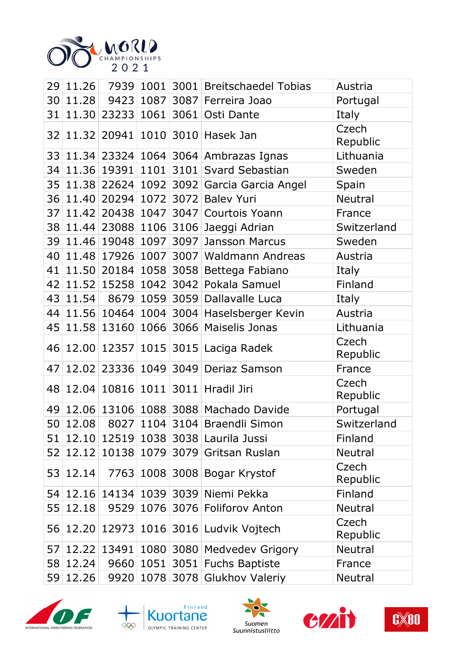

|                 |       |       |      |      | 29 11.26 7939 1001 3001 Breitschaedel Tobias | Austria           |
|-----------------|-------|-------|------|------|----------------------------------------------|-------------------|
| 30              | 11.28 |       |      |      | 9423 1087 3087 Ferreira Joao                 | Portugal          |
| 31              |       |       |      |      | 11.30 23233 1061 3061 Osti Dante             | Italy             |
| 32              |       |       |      |      | 11.32 20941 1010 3010 Hasek Jan              | Czech<br>Republic |
|                 |       |       |      |      | 33 11.34 23324 1064 3064 Ambrazas Ignas      | Lithuania         |
| 34              |       |       |      |      | 11.36 19391 1101 3101 Svard Sebastian        | Sweden            |
|                 |       |       |      |      | 35 11.38 22624 1092 3092 Garcia Garcia Angel | Spain             |
|                 |       |       |      |      | 36 11.40 20294 1072 3072 Balev Yuri          | <b>Neutral</b>    |
| 37 <sup>1</sup> |       |       |      |      | 11.42 20438 1047 3047 Courtois Yoann         | France            |
| 38              |       |       |      |      | 11.44 23088 1106 3106 Jaeggi Adrian          | Switzerland       |
|                 |       |       |      |      | 39 11.46 19048 1097 3097 Jansson Marcus      | Sweden            |
| 40              |       |       |      |      | 11.48 17926 1007 3007 Waldmann Andreas       | Austria           |
| 41              |       |       |      |      | 11.50 20184 1058 3058 Bettega Fabiano        | Italy             |
| 42              |       |       |      |      | 11.52 15258 1042 3042 Pokala Samuel          | Finland           |
| 43              |       |       |      |      | 11.54 8679 1059 3059 Dallavalle Luca         | Italy             |
| 44              |       |       |      |      | 11.56 10464 1004 3004 Haselsberger Kevin     | Austria           |
| 45              |       |       |      |      | 11.58 13160 1066 3066 Maiselis Jonas         | Lithuania         |
|                 |       |       |      |      | 46 12.00 12357 1015 3015 Laciga Radek        | Czech<br>Republic |
| 47              |       |       |      |      | 12.02 23336 1049 3049 Deriaz Samson          | France            |
| 48              |       |       |      |      | 12.04 10816 1011 3011 Hradil Jiri            | Czech<br>Republic |
|                 |       |       |      |      | 49 12.06 13106 1088 3088 Machado Davide      | Portugal          |
|                 |       |       |      |      | 50 12.08 8027 1104 3104 Braendli Simon       | Switzerland       |
| 51              | 12.10 | 12519 |      |      | 1038 3038 Laurila Jussi                      | Finland           |
| 52              | 12.12 | 10138 | 1079 | 3079 | Gritsan Ruslan                               | <b>Neutral</b>    |
| 53              | 12.14 | 7763  |      |      | 1008 3008 Bogar Krystof                      | Czech<br>Republic |
| 54              | 12.16 | 14134 |      |      | 1039 3039 Niemi Pekka                        | Finland           |
| 55              | 12.18 | 9529  | 1076 | 3076 | <b>Foliforov Anton</b>                       | <b>Neutral</b>    |
| 56              |       |       |      |      | 12.20 12973 1016 3016 Ludvik Vojtech         | Czech<br>Republic |
| 57              | 12.22 | 13491 |      |      | 1080 3080 Medvedev Grigory                   | <b>Neutral</b>    |
| 58              | 12.24 | 9660  | 1051 |      | 3051 Fuchs Baptiste                          | France            |
| 59              | 12.26 | 9920  |      |      | 1078 3078 Glukhov Valeriy                    | <b>Neutral</b>    |









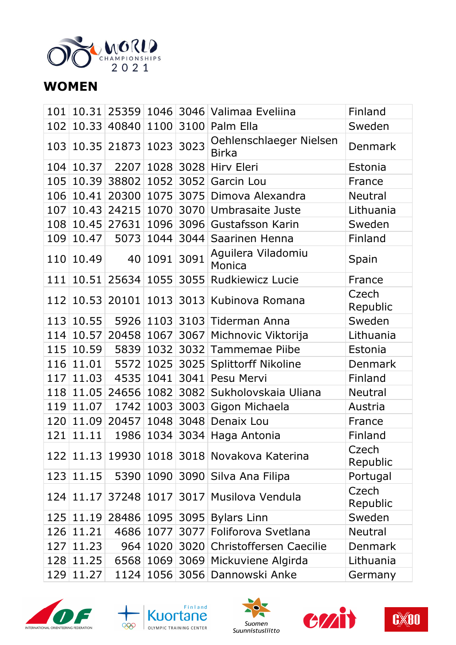

### **WOMEN**

|     |                  |                           |           |                | 101   10.31   25359   1046   3046   Valimaa Eveliina | Finland           |
|-----|------------------|---------------------------|-----------|----------------|------------------------------------------------------|-------------------|
| 102 |                  | 10.33 40840 1100 3100     |           |                | Palm Ella                                            | Sweden            |
|     |                  | 103 10.35 21873 1023 3023 |           |                | Oehlenschlaeger Nielsen<br><b>Birka</b>              | <b>Denmark</b>    |
|     | 104 10.37        |                           |           |                | 2207 1028 3028 Hirv Eleri                            | Estonia           |
| 105 | 10.39            |                           |           |                | 38802 1052 3052 Garcin Lou                           | France            |
|     | 106 10.41        |                           |           |                | 20300 1075 3075 Dimova Alexandra                     | <b>Neutral</b>    |
| 107 |                  |                           |           |                | 10.43 24215 1070 3070 Umbrasaite Juste               | Lithuania         |
|     |                  | 108 10.45 27631           |           |                | 1096 3096 Gustafsson Karin                           | Sweden            |
|     | 109 10.47        |                           |           |                | 5073 1044 3044 Saarinen Henna                        | Finland           |
|     | 110 10.49        |                           | 40 1091   | 3091           | Aguilera Viladomiu<br>Monica                         | Spain             |
| 111 | 10.51            | 25634 1055 3055           |           |                | <b>Rudkiewicz Lucie</b>                              | France            |
|     |                  | 112 10.53 20101           |           |                | 1013 3013 Kubinova Romana                            | Czech<br>Republic |
|     | 113 10.55        |                           |           |                | 5926 1103 3103 Tiderman Anna                         | Sweden            |
|     | 114 10.57        |                           |           |                | 20458 1067 3067 Michnovic Viktorija                  | Lithuania         |
|     | 115 10.59        |                           |           |                | 5839 1032 3032 Tammemae Piibe                        | Estonia           |
| 116 | 11.01            |                           |           | 5572 1025 3025 | <b>Splittorff Nikoline</b>                           | <b>Denmark</b>    |
|     | 117 11.03        |                           | 4535 1041 | 3041           | Pesu Mervi                                           | Finland           |
|     |                  | 118 11.05 24656 1082 3082 |           |                | Sukholovskaia Uliana                                 | <b>Neutral</b>    |
|     | 119 11.07        |                           |           |                | 1742 1003 3003 Gigon Michaela                        | Austria           |
|     |                  | 120 11.09 20457           |           |                | 1048 3048 Denaix Lou                                 | France            |
| 121 | 11.11            | 1986                      |           |                | 1034 3034 Haga Antonia                               | Finland           |
|     |                  |                           |           |                | 122 11.13 19930 1018 3018 Novakova Katerina          | Czech<br>Republic |
|     | 123 11.15        |                           |           |                | 5390 1090 3090 Silva Ana Filipa                      | Portugal          |
|     | $124 \mid 11.17$ | 37248 1017                |           |                | 3017 Musilova Vendula                                | Czech<br>Republic |
|     | 125 11.19        |                           |           |                | 28486 1095 3095 Bylars Linn                          | Sweden            |
|     | 126 11.21        |                           |           |                | 4686 1077 3077 Foliforova Svetlana                   | <b>Neutral</b>    |
|     | 127 11.23        |                           |           |                | 964   1020   3020   Christoffersen Caecilie          | <b>Denmark</b>    |
|     | 128 11.25        |                           |           |                | 6568 1069 3069 Mickuviene Algirda                    | Lithuania         |
|     | 129 11.27        |                           |           |                | 1124   1056   3056   Dannowski Anke                  | Germany           |









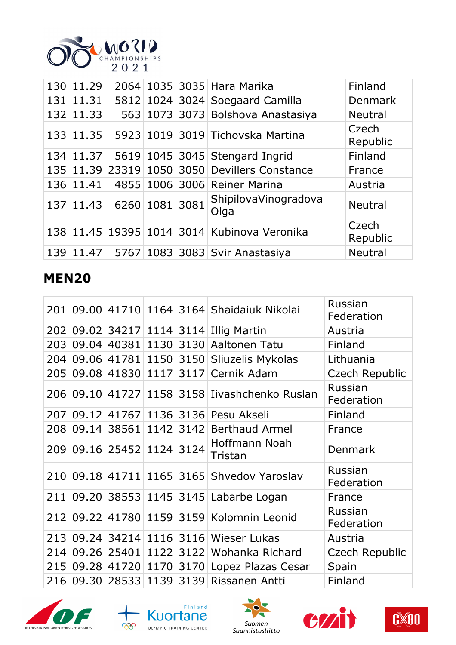

| 130 11.29        |                |  | 2064 1035 3035 Hara Marika                    | Finland           |
|------------------|----------------|--|-----------------------------------------------|-------------------|
| 131 11.31        |                |  | 5812 1024 3024 Soegaard Camilla               | Denmark           |
| 132 11.33        |                |  | 563 1073 3073 Bolshova Anastasiya             | <b>Neutral</b>    |
| 133 11.35        |                |  | 5923 1019 3019 Tichovska Martina              | Czech<br>Republic |
| 134 11.37        |                |  | 5619 1045 3045 Stengard Ingrid                | Finland           |
|                  |                |  | 135 11.39 23319 1050 3050 Devillers Constance | France            |
| 136 11.41        |                |  | 4855 1006 3006 Reiner Marina                  | Austria           |
| $137 \mid 11.43$ | 6260 1081 3081 |  | ShipilovaVinogradova<br>Olga                  | <b>Neutral</b>    |
|                  |                |  | 138 11.45 19395 1014 3014 Kubinova Veronika   | Czech<br>Republic |
|                  |                |  | 139 11.47 5767 1083 3083 Svir Anastasiya      | <b>Neutral</b>    |

#### **MEN20**

| 201 |           |                           |  | 09.00 41710 1164 3164 Shaidaiuk Nikolai       | Russian<br>Federation |
|-----|-----------|---------------------------|--|-----------------------------------------------|-----------------------|
|     |           |                           |  | 202 09.02 34217 1114 3114 Illig Martin        | Austria               |
| 203 | 09.04     |                           |  | 40381 1130 3130 Aaltonen Tatu                 | Finland               |
| 204 |           |                           |  | 09.06 41781 1150 3150 Sliuzelis Mykolas       | Lithuania             |
|     |           |                           |  | 205 09.08 41830 1117 3117 Cernik Adam         | Czech Republic        |
|     |           |                           |  | 206 09.10 41727 1158 3158 Iivashchenko Ruslan | Russian<br>Federation |
| 207 |           |                           |  | 09.12 41767 1136 3136 Pesu Akseli             | Finland               |
| 208 | 09.14     |                           |  | 38561 1142 3142 Berthaud Armel                | France                |
|     |           | 209 09.16 25452 1124 3124 |  | Hoffmann Noah<br>Tristan                      | <b>Denmark</b>        |
|     |           |                           |  | 210 09.18 41711 1165 3165 Shvedov Yaroslav    | Russian<br>Federation |
| 211 |           |                           |  | 09.20 38553 1145 3145 Labarbe Logan           | France                |
|     |           |                           |  | 212 09.22 41780 1159 3159 Kolomnin Leonid     | Russian<br>Federation |
|     |           |                           |  | 213 09.24 34214 1116 3116 Wieser Lukas        | Austria               |
| 214 |           |                           |  | 09.26 25401 1122 3122 Wohanka Richard         | Czech Republic        |
|     |           |                           |  | 215 09.28 41720 1170 3170 Lopez Plazas Cesar  | Spain                 |
|     | 216 09.30 | 28533 1139                |  | 3139 Rissanen Antti                           | Finland               |









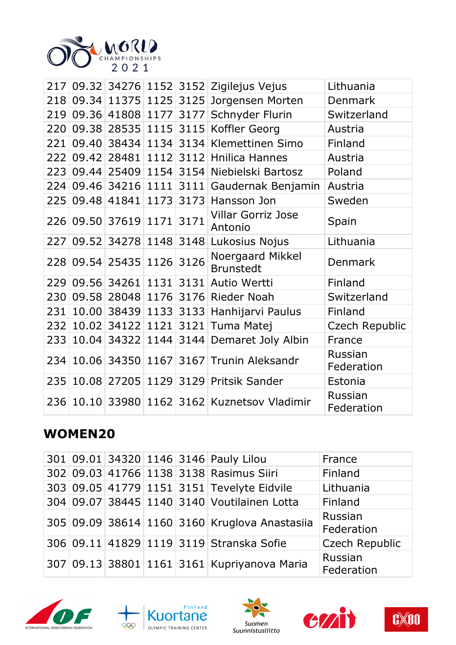

| 217 |           |                           |      |      | 09.32 34276 1152 3152 Zigilejus Vejus        | Lithuania             |
|-----|-----------|---------------------------|------|------|----------------------------------------------|-----------------------|
|     |           |                           |      |      | 218 09.34 11375 1125 3125 Jorgensen Morten   | Denmark               |
| 219 |           | 09.36 41808 1177 3177     |      |      | Schnyder Flurin                              | Switzerland           |
| 220 |           |                           |      |      | 09.38 28535 1115 3115 Koffler Georg          | Austria               |
| 221 |           |                           |      |      | 09.40 38434 1134 3134 Klemettinen Simo       | Finland               |
| 222 |           |                           |      |      | 09.42 28481 1112 3112 Hnilica Hannes         | Austria               |
|     |           |                           |      |      | 223 09.44 25409 1154 3154 Niebielski Bartosz | Poland                |
|     |           |                           |      |      | 224 09.46 34216 1111 3111 Gaudernak Benjamin | Austria               |
|     |           | 225 09.48 41841           | 1173 | 3173 | Hansson Jon                                  | Sweden                |
|     |           | 226 09.50 37619 1171      |      | 3171 | <b>Villar Gorriz Jose</b><br>Antonio         | Spain                 |
| 227 | 09.52     | 34278 1148 3148           |      |      | Lukosius Nojus                               | Lithuania             |
|     |           | 228 09.54 25435 1126      |      | 3126 | Noergaard Mikkel<br><b>Brunstedt</b>         | Denmark               |
|     |           | 229 09.56 34261 1131 3131 |      |      | Autio Wertti                                 | Finland               |
| 230 |           |                           |      |      | 09.58 28048 1176 3176 Rieder Noah            | Switzerland           |
| 231 |           |                           |      |      | 10.00 38439 1133 3133 Hanhijarvi Paulus      | Finland               |
|     | 232 10.02 | 34122 1121                |      | 3121 | Tuma Matej                                   | Czech Republic        |
| 233 | 10.04     | 34322                     | 1144 |      | 3144 Demaret Joly Albin                      | France                |
|     |           |                           |      |      | 234 10.06 34350 1167 3167 Trunin Aleksandr   | Russian<br>Federation |
| 235 |           |                           |      |      | 10.08 27205 1129 3129 Pritsik Sander         | Estonia               |
| 236 | 10.10     |                           |      |      | 33980 1162 3162 Kuznetsov Vladimir           | Russian<br>Federation |

## **WOMEN20**

|  |  | 301 09.01 34320 1146 3146 Pauly Lilou         | France                |
|--|--|-----------------------------------------------|-----------------------|
|  |  | 302 09.03 41766 1138 3138 Rasimus Siiri       | Finland               |
|  |  | 303 09.05 41779 1151 3151 Tevelyte Eidvile    | Lithuania             |
|  |  | 304 09.07 38445 1140 3140 Voutilainen Lotta   | Finland               |
|  |  | 305 09.09 38614 1160 3160 Kruglova Anastasiia | Russian<br>Federation |
|  |  | 306 09.11 41829 1119 3119 Stranska Sofie      | <b>Czech Republic</b> |
|  |  | 307 09.13 38801 1161 3161 Kupriyanova Maria   | Russian<br>Federation |